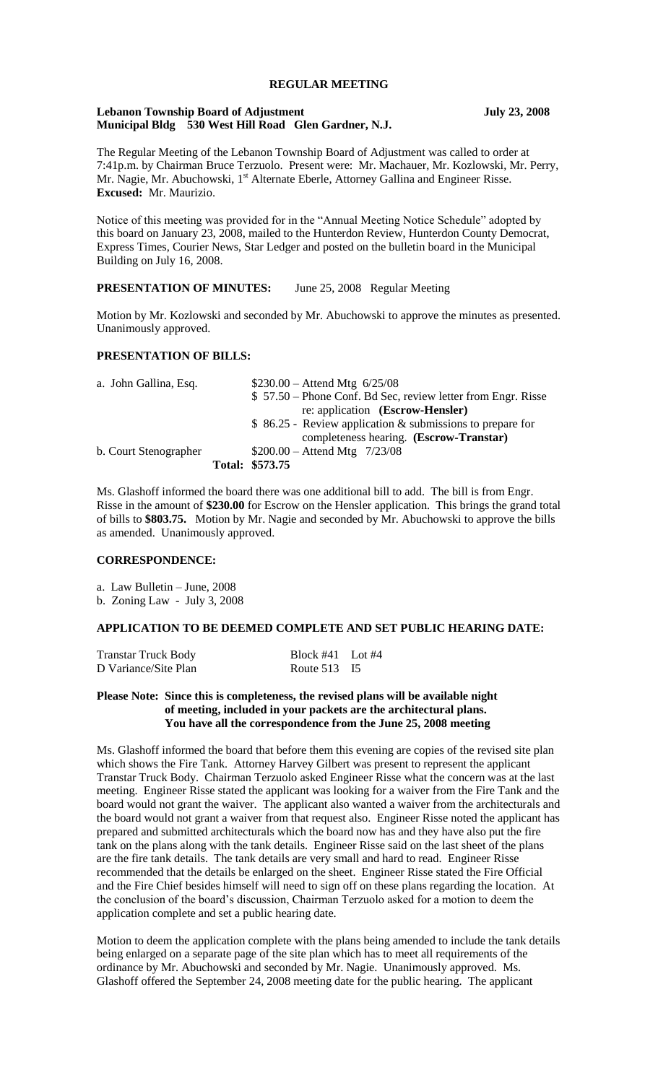# **REGULAR MEETING**

#### **Lebanon Township Board of Adjustment July 23, 2008 Municipal Bldg 530 West Hill Road Glen Gardner, N.J.**

The Regular Meeting of the Lebanon Township Board of Adjustment was called to order at 7:41p.m. by Chairman Bruce Terzuolo. Present were: Mr. Machauer, Mr. Kozlowski, Mr. Perry, Mr. Nagie, Mr. Abuchowski, 1<sup>st</sup> Alternate Eberle, Attorney Gallina and Engineer Risse. **Excused:** Mr. Maurizio.

Notice of this meeting was provided for in the "Annual Meeting Notice Schedule" adopted by this board on January 23, 2008, mailed to the Hunterdon Review, Hunterdon County Democrat, Express Times, Courier News, Star Ledger and posted on the bulletin board in the Municipal Building on July 16, 2008.

# **PRESENTATION OF MINUTES:** June 25, 2008 Regular Meeting

Motion by Mr. Kozlowski and seconded by Mr. Abuchowski to approve the minutes as presented. Unanimously approved.

## **PRESENTATION OF BILLS:**

| a. John Gallina, Esq. | $$230.00 -$ Attend Mtg 6/25/08                               |
|-----------------------|--------------------------------------------------------------|
|                       | \$57.50 – Phone Conf. Bd Sec, review letter from Engr. Risse |
|                       | re: application (Escrow-Hensler)                             |
|                       | $$86.25$ - Review application & submissions to prepare for   |
|                       | completeness hearing. (Escrow-Transtar)                      |
| b. Court Stenographer | $$200.00 -$ Attend Mtg 7/23/08                               |
|                       | Total: \$573.75                                              |

Ms. Glashoff informed the board there was one additional bill to add. The bill is from Engr. Risse in the amount of **\$230.00** for Escrow on the Hensler application. This brings the grand total of bills to **\$803.75.** Motion by Mr. Nagie and seconded by Mr. Abuchowski to approve the bills as amended. Unanimously approved.

### **CORRESPONDENCE:**

a. Law Bulletin – June, 2008

b. Zoning Law - July 3, 2008

#### **APPLICATION TO BE DEEMED COMPLETE AND SET PUBLIC HEARING DATE:**

| <b>Transtar Truck Body</b> | Block $#41$ Lot $#4$ |  |
|----------------------------|----------------------|--|
| D Variance/Site Plan       | Route 513 I5         |  |

## **Please Note: Since this is completeness, the revised plans will be available night of meeting, included in your packets are the architectural plans. You have all the correspondence from the June 25, 2008 meeting**

Ms. Glashoff informed the board that before them this evening are copies of the revised site plan which shows the Fire Tank. Attorney Harvey Gilbert was present to represent the applicant Transtar Truck Body. Chairman Terzuolo asked Engineer Risse what the concern was at the last meeting. Engineer Risse stated the applicant was looking for a waiver from the Fire Tank and the board would not grant the waiver. The applicant also wanted a waiver from the architecturals and the board would not grant a waiver from that request also. Engineer Risse noted the applicant has prepared and submitted architecturals which the board now has and they have also put the fire tank on the plans along with the tank details. Engineer Risse said on the last sheet of the plans are the fire tank details. The tank details are very small and hard to read. Engineer Risse recommended that the details be enlarged on the sheet. Engineer Risse stated the Fire Official and the Fire Chief besides himself will need to sign off on these plans regarding the location. At the conclusion of the board's discussion, Chairman Terzuolo asked for a motion to deem the application complete and set a public hearing date.

Motion to deem the application complete with the plans being amended to include the tank details being enlarged on a separate page of the site plan which has to meet all requirements of the ordinance by Mr. Abuchowski and seconded by Mr. Nagie. Unanimously approved. Ms. Glashoff offered the September 24, 2008 meeting date for the public hearing. The applicant